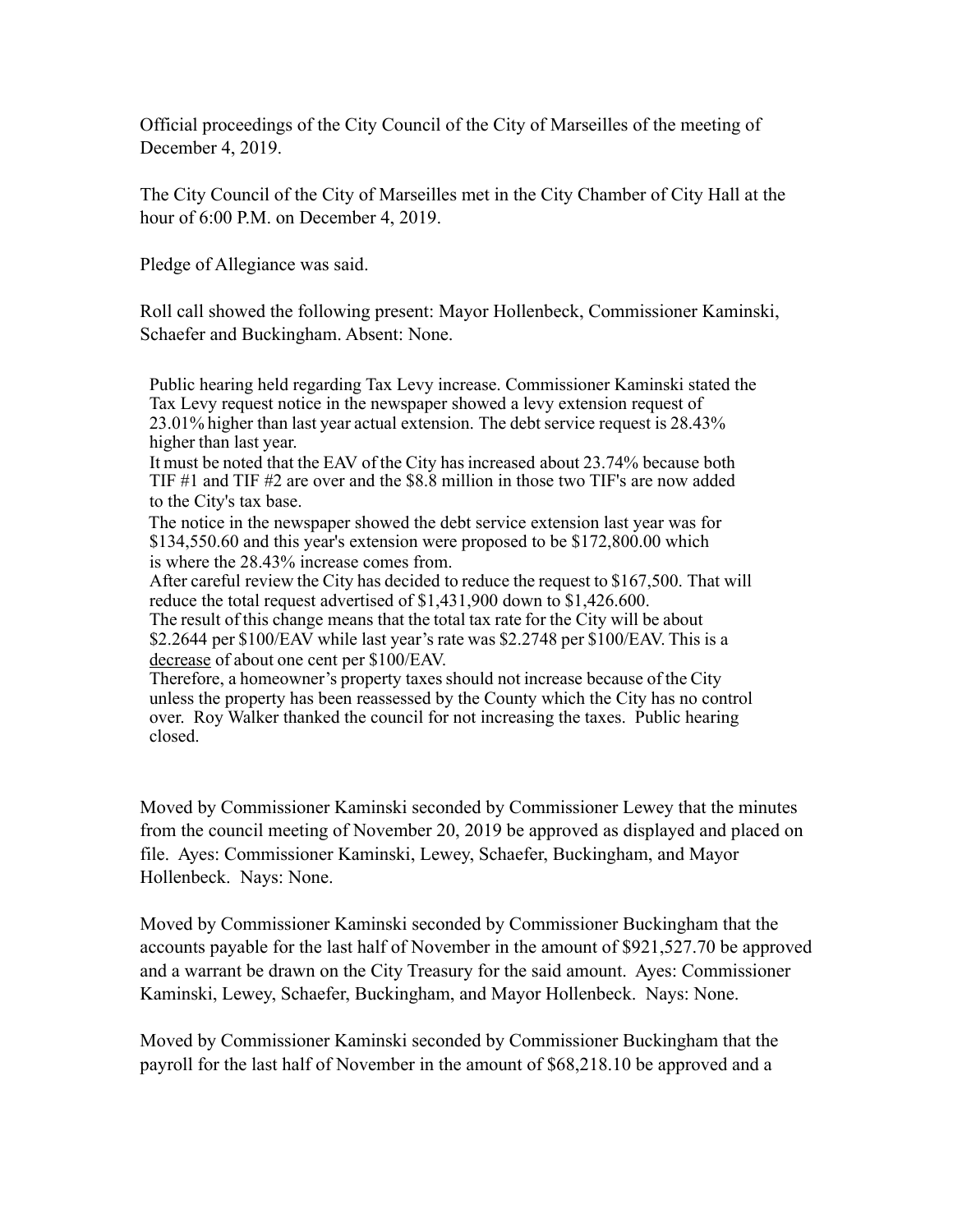Official proceedings of the City Council of the City of Marseilles of the meeting of December 4, 2019.

The City Council of the City of Marseilles met in the City Chamber of City Hall at the hour of 6:00 P.M. on December 4, 2019.

Pledge of Allegiance was said.

Roll call showed the following present: Mayor Hollenbeck, Commissioner Kaminski, Schaefer and Buckingham. Absent: None.

Public hearing held regarding Tax Levy increase. Commissioner Kaminski stated the Tax Levy request notice in the newspaper showed a levy extension request of 23.01% higher than last year actual extension. The debt service request is 28.43% higher than last year.

It must be noted that the EAV of the City has increased about 23.74% because both TIF #1 and TIF #2 are over and the \$8.8 million in those two TIF's are now added to the City's tax base.

 The notice in the newspaper showed the debt service extension last year was for \$134,550.60 and this year's extension were proposed to be \$172,800.00 which is where the 28.43% increase comes from.

After careful review the City has decided to reduce the request to \$167,500. That will reduce the total request advertised of \$1,431,900 down to \$1,426.600.

The result of this change means that the total tax rate for the City will be about \$2.2644 per \$100/EAV while last year's rate was \$2.2748 per \$100/EAV. This is a decrease of about one cent per \$100/EAV.

Therefore, a homeowner's property taxes should not increase because of the City unless the property has been reassessed by the County which the City has no control over. Roy Walker thanked the council for not increasing the taxes. Public hearing closed.

Moved by Commissioner Kaminski seconded by Commissioner Lewey that the minutes from the council meeting of November 20, 2019 be approved as displayed and placed on file. Ayes: Commissioner Kaminski, Lewey, Schaefer, Buckingham, and Mayor Hollenbeck. Nays: None.

Moved by Commissioner Kaminski seconded by Commissioner Buckingham that the accounts payable for the last half of November in the amount of \$921,527.70 be approved and a warrant be drawn on the City Treasury for the said amount. Ayes: Commissioner Kaminski, Lewey, Schaefer, Buckingham, and Mayor Hollenbeck. Nays: None.

Moved by Commissioner Kaminski seconded by Commissioner Buckingham that the payroll for the last half of November in the amount of \$68,218.10 be approved and a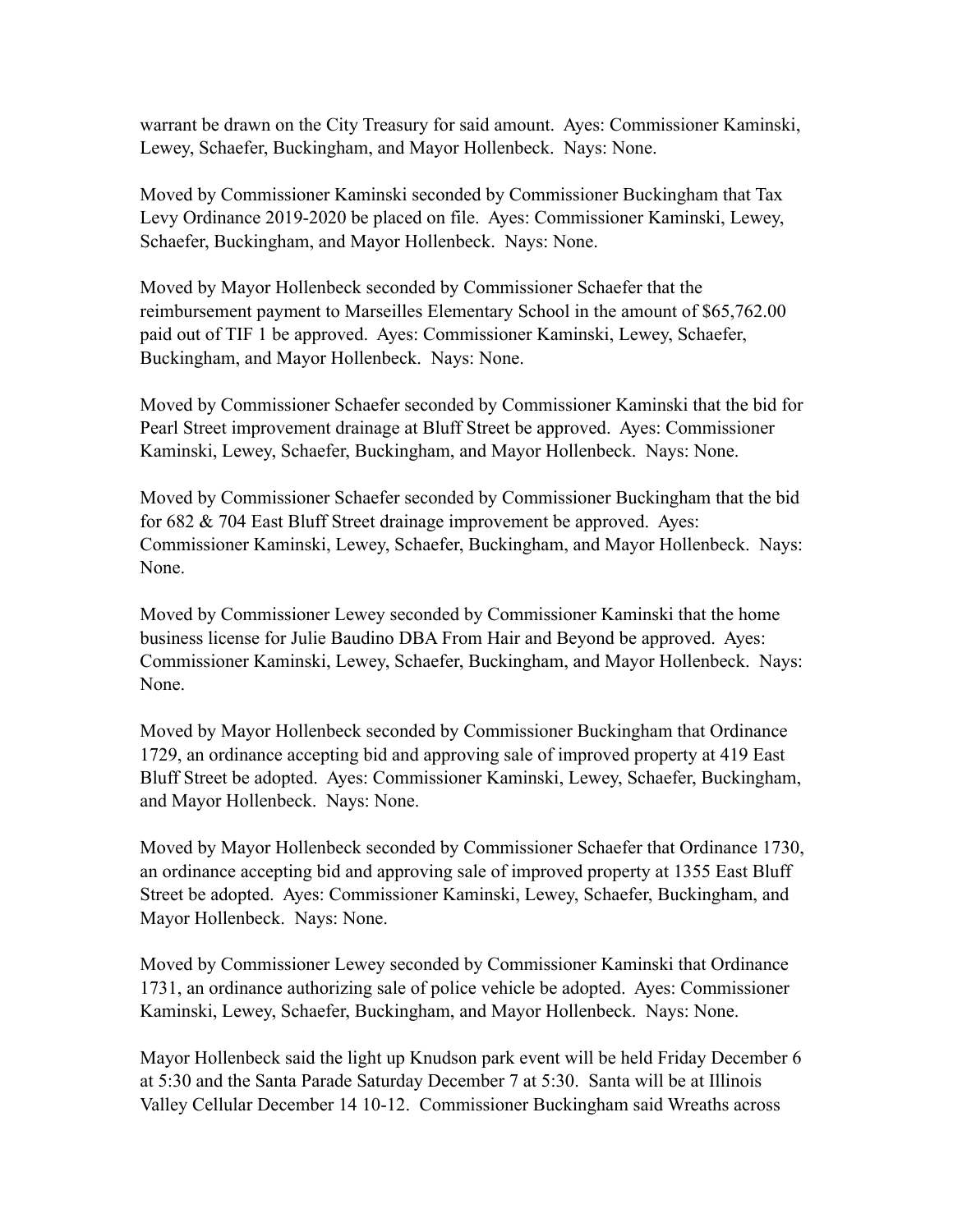warrant be drawn on the City Treasury for said amount. Ayes: Commissioner Kaminski, Lewey, Schaefer, Buckingham, and Mayor Hollenbeck. Nays: None.

Moved by Commissioner Kaminski seconded by Commissioner Buckingham that Tax Levy Ordinance 2019-2020 be placed on file. Ayes: Commissioner Kaminski, Lewey, Schaefer, Buckingham, and Mayor Hollenbeck. Nays: None.

Moved by Mayor Hollenbeck seconded by Commissioner Schaefer that the reimbursement payment to Marseilles Elementary School in the amount of \$65,762.00 paid out of TIF 1 be approved. Ayes: Commissioner Kaminski, Lewey, Schaefer, Buckingham, and Mayor Hollenbeck. Nays: None.

Moved by Commissioner Schaefer seconded by Commissioner Kaminski that the bid for Pearl Street improvement drainage at Bluff Street be approved. Ayes: Commissioner Kaminski, Lewey, Schaefer, Buckingham, and Mayor Hollenbeck. Nays: None.

Moved by Commissioner Schaefer seconded by Commissioner Buckingham that the bid for 682 & 704 East Bluff Street drainage improvement be approved. Ayes: Commissioner Kaminski, Lewey, Schaefer, Buckingham, and Mayor Hollenbeck. Nays: None.

Moved by Commissioner Lewey seconded by Commissioner Kaminski that the home business license for Julie Baudino DBA From Hair and Beyond be approved. Ayes: Commissioner Kaminski, Lewey, Schaefer, Buckingham, and Mayor Hollenbeck. Nays: None.

Moved by Mayor Hollenbeck seconded by Commissioner Buckingham that Ordinance 1729, an ordinance accepting bid and approving sale of improved property at 419 East Bluff Street be adopted. Ayes: Commissioner Kaminski, Lewey, Schaefer, Buckingham, and Mayor Hollenbeck. Nays: None.

Moved by Mayor Hollenbeck seconded by Commissioner Schaefer that Ordinance 1730, an ordinance accepting bid and approving sale of improved property at 1355 East Bluff Street be adopted. Ayes: Commissioner Kaminski, Lewey, Schaefer, Buckingham, and Mayor Hollenbeck. Nays: None.

Moved by Commissioner Lewey seconded by Commissioner Kaminski that Ordinance 1731, an ordinance authorizing sale of police vehicle be adopted. Ayes: Commissioner Kaminski, Lewey, Schaefer, Buckingham, and Mayor Hollenbeck. Nays: None.

Mayor Hollenbeck said the light up Knudson park event will be held Friday December 6 at 5:30 and the Santa Parade Saturday December 7 at 5:30. Santa will be at Illinois Valley Cellular December 14 10-12. Commissioner Buckingham said Wreaths across